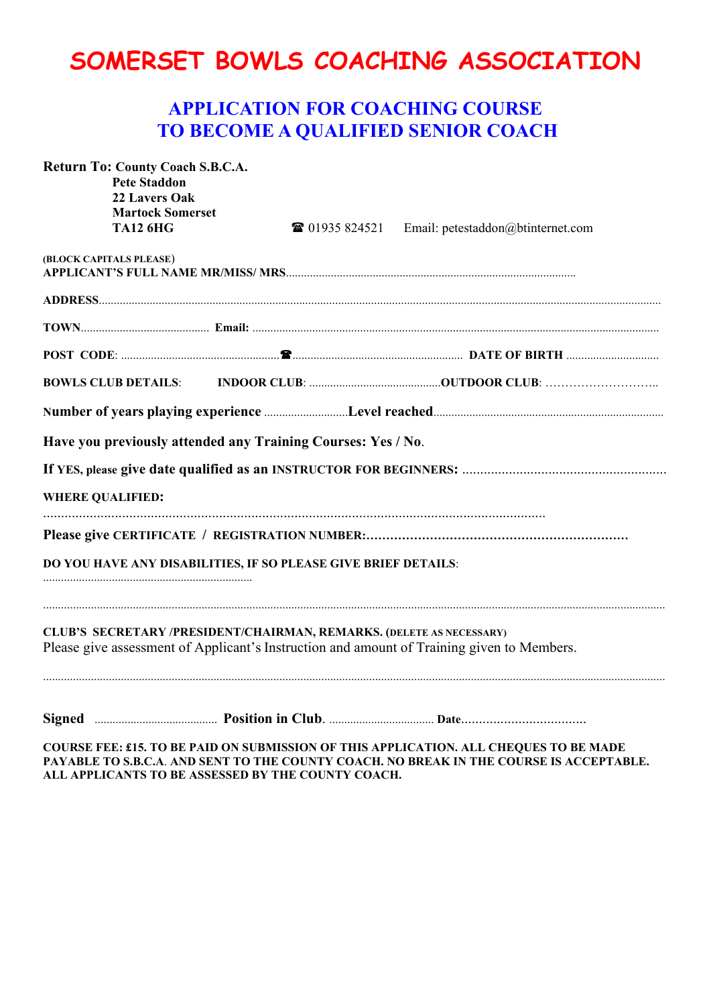## **SOMERSET BOWLS COACHING ASSOCIATION**

## **APPLICATION FOR COACHING COURSE TO BECOME A QUALIFIED SENIOR COACH**

| Return To: County Coach S.B.C.A.<br><b>Pete Staddon</b><br>22 Lavers Oak<br><b>Martock Somerset</b><br><b>TA12 6HG</b> | <b>■ 01935 824521</b> Email: petestaddon@btinternet.com                                                                                                                                          |
|------------------------------------------------------------------------------------------------------------------------|--------------------------------------------------------------------------------------------------------------------------------------------------------------------------------------------------|
| (BLOCK CAPITALS PLEASE)                                                                                                |                                                                                                                                                                                                  |
|                                                                                                                        |                                                                                                                                                                                                  |
|                                                                                                                        |                                                                                                                                                                                                  |
|                                                                                                                        |                                                                                                                                                                                                  |
|                                                                                                                        |                                                                                                                                                                                                  |
| <b>BOWLS CLUB DETAILS:</b>                                                                                             |                                                                                                                                                                                                  |
|                                                                                                                        |                                                                                                                                                                                                  |
| Have you previously attended any Training Courses: Yes / No.                                                           |                                                                                                                                                                                                  |
|                                                                                                                        |                                                                                                                                                                                                  |
|                                                                                                                        |                                                                                                                                                                                                  |
| <b>WHERE QUALIFIED:</b>                                                                                                |                                                                                                                                                                                                  |
|                                                                                                                        |                                                                                                                                                                                                  |
| DO YOU HAVE ANY DISABILITIES, IF SO PLEASE GIVE BRIEF DETAILS:                                                         |                                                                                                                                                                                                  |
| CLUB'S SECRETARY /PRESIDENT/CHAIRMAN, REMARKS. (DELETE AS NECESSARY)                                                   | Please give assessment of Applicant's Instruction and amount of Training given to Members.                                                                                                       |
|                                                                                                                        | Signed <b>Example 2018</b> Position in Club. <b>Example 2018</b> Date <b>Date</b> Date <b>Date</b> 2018<br>COURSE EER 44 FO BE BIJD ON SUBJECTION OF THE LOAD LOCATION IS A SUBQUES TO BE LIABLE |

**COURSE FEE: £15. TO BE PAID ON SUBMISSION OF THIS APPLICATION. ALL CHEQUES TO BE MADE PAYABLE TO S.B.C.A**. **AND SENT TO THE COUNTY COACH. NO BREAK IN THE COURSE IS ACCEPTABLE. ALL APPLICANTS TO BE ASSESSED BY THE COUNTY COACH.**